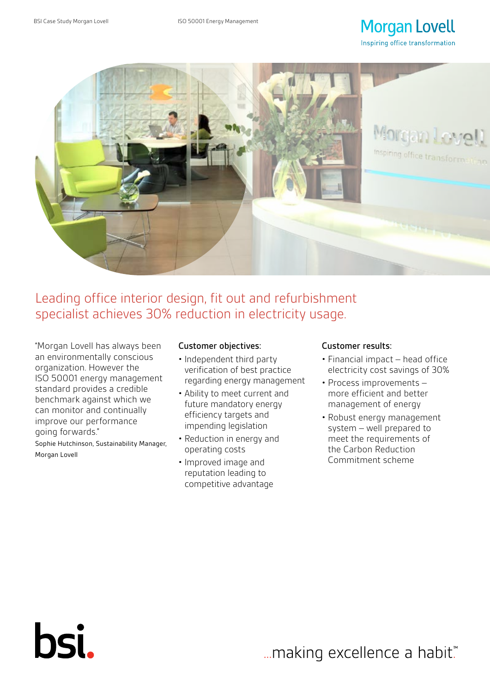# **Morgan Lovell** Inspiring office transformation



Leading office interior design, fit out and refurbishment specialist achieves 30% reduction in electricity usage.

"Morgan Lovell has always been an environmentally conscious organization. However the ISO 50001 energy management standard provides a credible benchmark against which we can monitor and continually improve our performance going forwards."

Sophie Hutchinson, Sustainability Manager, Morgan Lovell

bsi.

## Customer objectives:

- Independent third party verification of best practice regarding energy management
- Ability to meet current and future mandatory energy efficiency targets and impending legislation
- Reduction in energy and operating costs
- Improved image and reputation leading to competitive advantage

# Customer results:

- Financial impact head office electricity cost savings of 30%
- Process improvements more efficient and better management of energy
- Robust energy management system – well prepared to meet the requirements of the Carbon Reduction Commitment scheme

... making excellence a habit."